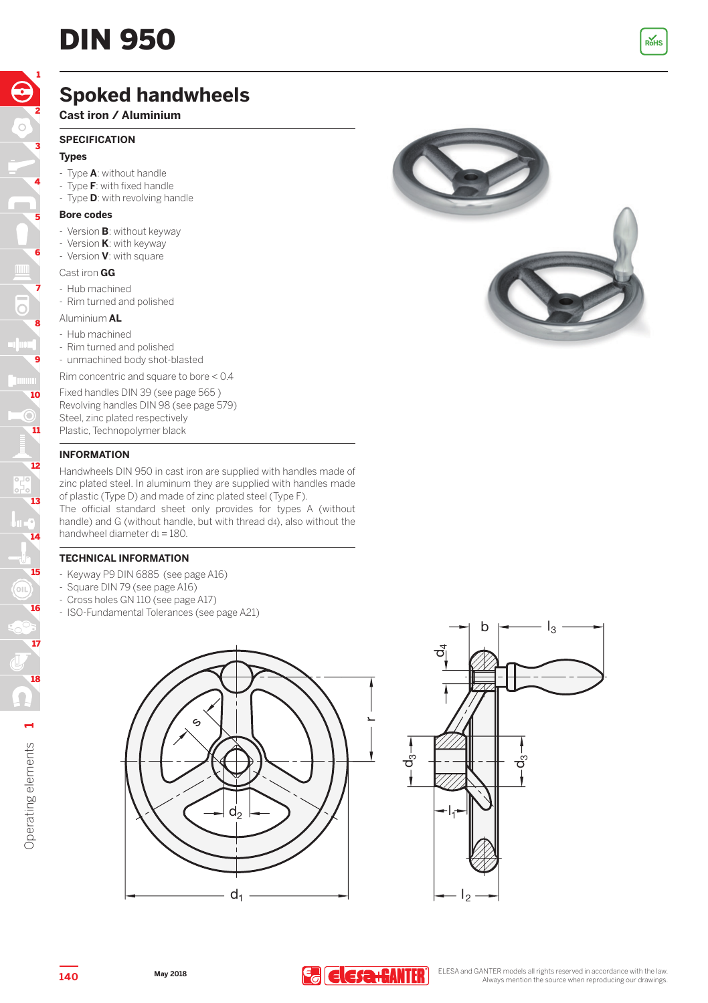# **DIN 950 Rows Rows Rows Rows Rows Rows Rows Rows Rows Rows Rows Rows Rows Rows Rows Rows Rows Rows Rows ROWS**

### **Cast iron / Aluminium**

#### **SPECIFICATION**

#### **Types**

- Type **A**: without handle
- Type **F**: with fixed handle
- Type **D**: with revolving handle

#### **Bore codes**

- Version **B**: without keyway
- Version **K**: with keyway
- Version **V**: with square

#### Cast iron **GG**

- Hub machined
- Rim turned and polished

#### Aluminium **AL**

- Hub machined
- Rim turned and polished
- unmachined body shot-blasted

Rim concentric and square to bore < 0.4

Fixed handles DIN 39 (see page 565 ) Revolving handles DIN 98 (see page 579) Steel, zinc plated respectively Plastic, Technopolymer black

#### **INFORMATION**

Handwheels DIN 950 in cast iron are supplied with handles made of zinc plated steel. In aluminum they are supplied with handles made of plastic (Type D) and made of zinc plated steel (Type F).

The official standard sheet only provides for types A (without handle) and G (without handle, but with thread d4), also without the handwheel diameter d1 = 180.

#### **TECHNICAL INFORMATION**

- Keyway P9 DIN 6885 (see page A16)
- Square DIN 79 (see page A16)
- Cross holes GN 110 (see page A17)
- ISO-Fundamental Tolerances (see page A21)



4 $\overline{C}$  $l_3$ ო ਹ 2l 1 l ო ರ





**1**

18

17

16

15

(oil)

14

13

12

11

10

 $\overline{\circ}$ 

9

8

7

6

5

4

3

2

1

Operating elements

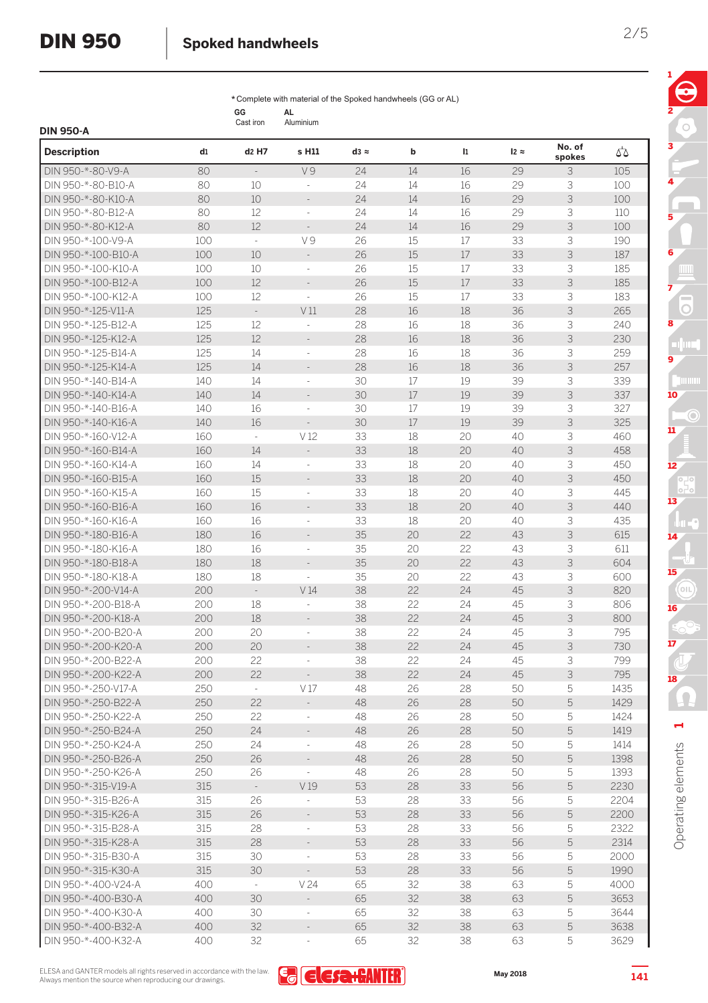## DIN 950 **Spoked handwheels**

\* Complete with material of the Spoked handwheels (GG or AL)

**GG AL**

| <b>DIN 950-A</b>    |     | Cast iron                     | Aluminium                |              |    |    |              |                  |      |
|---------------------|-----|-------------------------------|--------------------------|--------------|----|----|--------------|------------------|------|
| <b>Description</b>  | d1  | d <sub>2</sub> H <sub>7</sub> | s H11                    | $d3 \approx$ | b  | 11 | $12 \approx$ | No. of<br>spokes | 4    |
| DIN 950-*-80-V9-A   | 80  | $\sim$                        | V <sub>9</sub>           | 24           | 14 | 16 | 29           | 3                | 105  |
| DIN 950-*-80-B10-A  | 80  | 10                            | i,                       | 24           | 14 | 16 | 29           | 3                | 100  |
| DIN 950-*-80-K10-A  | 80  | 10                            | ÷,                       | 24           | 14 | 16 | 29           | 3                | 100  |
| DIN 950-*-80-B12-A  | 80  | 12                            | $\overline{\phantom{a}}$ | 24           | 14 | 16 | 29           | 3                | 110  |
| DIN 950-*-80-K12-A  | 80  | 12                            | $\bar{a}$                | 24           | 14 | 16 | 29           | 3                | 100  |
| DIN 950-*-100-V9-A  | 100 | $\sim$                        | V9                       | 26           | 15 | 17 | 33           | 3                | 190  |
| DIN 950-*-100-B10-A | 100 | 10                            | $\overline{\phantom{a}}$ | 26           | 15 | 17 | 33           | 3                | 187  |
| DIN 950-*-100-K10-A | 100 | 10                            | $\overline{\phantom{a}}$ | 26           | 15 | 17 | 33           | 3                | 185  |
| DIN 950-*-100-B12-A | 100 | 12                            | $\overline{\phantom{a}}$ | 26           | 15 | 17 | 33           | 3                | 185  |
| DIN 950-*-100-K12-A | 100 | 12                            | $\overline{\phantom{a}}$ | 26           | 15 | 17 | 33           | 3                | 183  |
| DIN 950-*-125-V11-A | 125 | $\overline{\phantom{a}}$      | V11                      | 28           | 16 | 18 | 36           | 3                | 265  |
| DIN 950-*-125-B12-A | 125 | 12                            | Ĭ.                       | 28           | 16 | 18 | 36           | 3                | 240  |
| DIN 950-*-125-K12-A | 125 | 12                            | L.                       | 28           | 16 | 18 | 36           | 3                | 230  |
| DIN 950-*-125-B14-A | 125 | 14                            | $\overline{\phantom{a}}$ | 28           | 16 | 18 | 36           | 3                | 259  |
| DIN 950-*-125-K14-A | 125 | 14                            | $\overline{\phantom{a}}$ | 28           | 16 | 18 | 36           | 3                | 257  |
| DIN 950-*-140-B14-A | 140 | 14                            | ÷                        | 30           | 17 | 19 | 39           | 3                | 339  |
| DIN 950-*-140-K14-A | 140 | 14                            |                          | 30           | 17 | 19 | 39           | 3                | 337  |
| DIN 950-*-140-B16-A | 140 | 16                            | ÷                        | 30           | 17 | 19 | 39           | 3                | 327  |
| DIN 950-*-140-K16-A | 140 | 16                            | $\overline{\phantom{a}}$ | 30           | 17 | 19 | 39           | 3                | 325  |
| DIN 950-*-160-V12-A | 160 | $\overline{\phantom{a}}$      | V12                      | 33           | 18 | 20 | 40           | 3                | 460  |
| DIN 950-*-160-B14-A | 160 | 14                            | $\overline{\phantom{a}}$ | 33           | 18 | 20 | 40           | 3                | 458  |
| DIN 950-*-160-K14-A | 160 | 14                            | ÷                        | 33           | 18 | 20 | 40           | 3                | 450  |
| DIN 950-*-160-B15-A | 160 | 15                            | $\overline{a}$           | 33           | 18 | 20 | 40           | 3                | 450  |
| DIN 950-*-160-K15-A | 160 | 15                            | $\overline{\phantom{a}}$ | 33           | 18 | 20 | 40           | 3                | 445  |
| DIN 950-*-160-B16-A | 160 | 16                            | L.                       | 33           | 18 | 20 | 40           | 3                | 440  |
| DIN 950-*-160-K16-A | 160 | 16                            | $\overline{\phantom{a}}$ | 33           | 18 | 20 | 40           | 3                | 435  |
| DIN 950-*-180-B16-A | 180 | 16                            |                          | 35           | 20 | 22 | 43           | 3                | 615  |
| DIN 950-*-180-K16-A | 180 | 16                            | $\overline{\phantom{a}}$ | 35           | 20 | 22 | 43           | 3                | 611  |
| DIN 950-*-180-B18-A | 180 | 18                            | ÷,                       | 35           | 20 | 22 | 43           | 3                | 604  |
| DIN 950-*-180-K18-A | 180 | 18                            | ÷,                       | 35           | 20 | 22 | 43           | 3                | 600  |
| DIN 950-*-200-V14-A | 200 | $\overline{\phantom{a}}$      | V14                      | 38           | 22 | 24 | 45           | 3                | 820  |
| DIN 950-*-200-B18-A | 200 | 18                            | ٠                        | 38           | 22 | 24 | 45           | 3                | 806  |
| DIN 950-*-200-K18-A | 200 | 18                            |                          | 38           | 22 | 24 | 45           | 3                | 800  |
| DIN 950-*-200-B20-A | 200 | 20                            | $\overline{\phantom{a}}$ | 38           | 22 | 24 | 45           | 3                | 795  |
| DIN 950-*-200-K20-A | 200 | 20                            | $\sim$                   | 38           | 22 | 24 | 45           | 3                | 730  |
| DIN 950-*-200-B22-A | 200 | 22                            | ÷                        | 38           | 22 | 24 | 45           | 3                | 799  |
| DIN 950-*-200-K22-A | 200 | 22                            |                          | 38           | 22 | 24 | 45           | 3                | 795  |
| DIN 950-*-250-V17-A | 250 | $\overline{\phantom{a}}$      | V17                      | 48           | 26 | 28 | 50           | 5                | 1435 |
| DIN 950-*-250-B22-A | 250 | 22                            | $\frac{1}{2}$            | 48           | 26 | 28 | 50           | 5                | 1429 |
| DIN 950-*-250-K22-A | 250 | 22                            | $\overline{\phantom{a}}$ | 48           | 26 | 28 | 50           | 5                | 1424 |
| DIN 950-*-250-B24-A | 250 | 24                            | ÷                        | 48           | 26 | 28 | 50           | 5                | 1419 |
| DIN 950-*-250-K24-A | 250 | 24                            |                          | 48           | 26 | 28 | 50           | 5                | 1414 |
| DIN 950-*-250-B26-A | 250 | 26                            | $\overline{\phantom{a}}$ | 48           | 26 | 28 | 50           | 5                | 1398 |
| DIN 950-*-250-K26-A | 250 | 26                            | $\sim$                   | 48           | 26 | 28 | 50           | 5                | 1393 |
| DIN 950-*-315-V19-A | 315 | $\mathcal{L}_{\mathcal{A}}$   | V19                      | 53           | 28 | 33 | 56           | 5                | 2230 |
| DIN 950-*-315-B26-A | 315 | 26                            | $\overline{\phantom{a}}$ | 53           | 28 | 33 | 56           | 5                | 2204 |
| DIN 950-*-315-K26-A | 315 | 26                            | $\overline{\phantom{a}}$ | 53           | 28 | 33 | 56           | 5                | 2200 |
| DIN 950-*-315-B28-A | 315 | 28                            | $\overline{\phantom{a}}$ | 53           | 28 | 33 | 56           | 5                | 2322 |
| DIN 950-*-315-K28-A | 315 | 28                            | $\overline{\phantom{a}}$ | 53           | 28 | 33 | 56           | 5                | 2314 |
| DIN 950-*-315-B30-A | 315 | 30                            | $\overline{\phantom{a}}$ | 53           | 28 | 33 | 56           | 5                | 2000 |
| DIN 950-*-315-K30-A | 315 | 30                            | $\overline{\phantom{a}}$ | 53           | 28 | 33 | 56           | 5                | 1990 |
| DIN 950-*-400-V24-A | 400 | $\sim$                        | V24                      | 65           | 32 | 38 | 63           | 5                | 4000 |
| DIN 950-*-400-B30-A | 400 | 30                            | $\overline{\phantom{a}}$ | 65           | 32 | 38 | 63           | 5                | 3653 |
| DIN 950-*-400-K30-A | 400 | 30                            | $\overline{\phantom{a}}$ | 65           | 32 | 38 | 63           | 5                | 3644 |
| DIN 950-*-400-B32-A | 400 | 32                            | $\frac{1}{2}$            | 65           | 32 | 38 | 63           | 5                | 3638 |
| DIN 950-*-400-K32-A | 400 | 32                            | $\overline{\phantom{a}}$ | 65           | 32 | 38 | 63           | 5                | 3629 |



2

1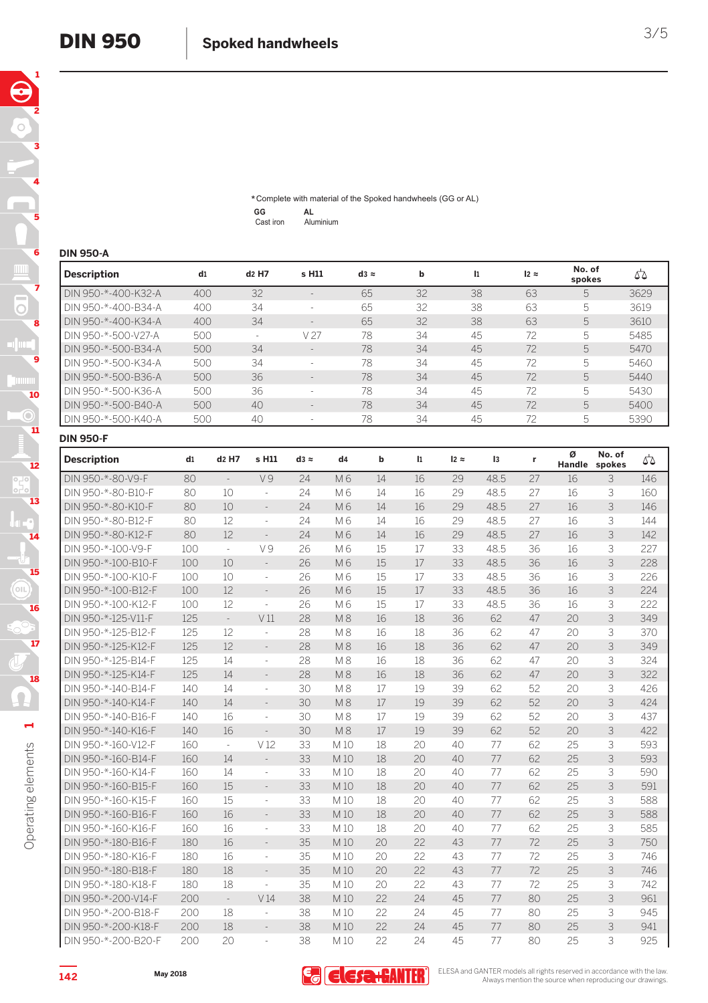1

\* Complete with material of the Spoked handwheels (GG or AL)

**AL**<br>Aluminium **GG**<br>Cast iron

#### **DIN 950-A**

**DIN 950-F**

| <b>Description</b>  | d1  | d <sub>2</sub> H <sub>7</sub> | s H11 | $d3 \approx$ | b  | 11 | $12 \approx$ | No. of<br>spokes | 55   |
|---------------------|-----|-------------------------------|-------|--------------|----|----|--------------|------------------|------|
| DIN 950-*-400-K32-A | 400 | 32                            |       | 65           | 32 | 38 | 63           | 5                | 3629 |
| DIN 950-*-400-B34-A | 400 | 34                            |       | 65           | 32 | 38 | 63           | 5                | 3619 |
| DIN 950-*-400-K34-A | 400 | 34                            |       | 65           | 32 | 38 | 63           | 5                | 3610 |
| DIN 950-*-500-V27-A | 500 |                               | V 27  | 78           | 34 | 45 | 72           | 5                | 5485 |
| DIN 950-*-500-B34-A | 500 | 34                            |       | 78           | 34 | 45 | 72           | 5                | 5470 |
| DIN 950-*-500-K34-A | 500 | 34                            |       | 78           | 34 | 45 | 72           | 5                | 5460 |
| DIN 950-*-500-B36-A | 500 | 36                            |       | 78           | 34 | 45 | 72           | 5                | 5440 |
| DIN 950-*-500-K36-A | 500 | 36                            |       | 78           | 34 | 45 | 72           | 5                | 5430 |
| DIN 950-*-500-B40-A | 500 | 40                            |       | 78           | 34 | 45 | 72           | 5                | 5400 |
| DIN 950-*-500-K40-A | 500 | 40                            |       | 78           | 34 | 45 | 72           | 5                | 5390 |

| <b>Description</b>  | d1  | d <sub>2</sub> H <sub>7</sub> | s H11                    | $d3 \approx$ | d4             | b  | $\mathbf{I}$ | $12 \approx$ | $\mathsf{I}3$ | r  | ø<br>Handle | No. of<br>spokes | 5۵  |
|---------------------|-----|-------------------------------|--------------------------|--------------|----------------|----|--------------|--------------|---------------|----|-------------|------------------|-----|
| DIN 950-*-80-V9-F   | 80  | $\mathcal{L}$                 | V <sub>9</sub>           | 24           | M6             | 14 | 16           | 29           | 48.5          | 27 | 16          | 3                | 146 |
| DIN 950-*-80-B10-F  | 80  | 10                            | ÷,                       | 24           | M <sub>6</sub> | 14 | 16           | 29           | 48.5          | 27 | 16          | 3                | 160 |
| DIN 950-*-80-K10-F  | 80  | 10                            | $\overline{\phantom{a}}$ | 24           | M 6            | 14 | 16           | 29           | 48.5          | 27 | 16          | 3                | 146 |
| DIN 950-*-80-B12-F  | 80  | $12^{1}$                      | ÷,                       | 24           | M6             | 14 | 16           | 29           | 48.5          | 27 | 16          | 3                | 144 |
| DIN 950-*-80-K12-F  | 80  | 12                            | $\sim$                   | 24           | M6             | 14 | 16           | 29           | 48.5          | 27 | 16          | 3                | 142 |
| DIN 950-*-100-V9-F  | 100 | $\overline{\phantom{a}}$      | V <sub>9</sub>           | 26           | M6             | 15 | 17           | 33           | 48.5          | 36 | 16          | 3                | 227 |
| DIN 950-*-100-B10-F | 100 | 10                            | $\overline{\phantom{a}}$ | 26           | M6             | 15 | 17           | 33           | 48.5          | 36 | 16          | 3                | 228 |
| DIN 950-*-100-K10-F | 100 | 10                            | $\overline{\phantom{a}}$ | 26           | M6             | 15 | 17           | 33           | 48.5          | 36 | 16          | 3                | 226 |
| DIN 950-*-100-B12-F | 100 | 12                            | $\frac{1}{2}$            | 26           | M6             | 15 | 17           | 33           | 48.5          | 36 | 16          | 3                | 224 |
| DIN 950-*-100-K12-F | 100 | 12                            | ÷,                       | 26           | M6             | 15 | 17           | 33           | 48.5          | 36 | 16          | 3                | 222 |
| DIN 950-*-125-V11-F | 125 | $\overline{\phantom{a}}$      | V <sub>11</sub>          | 28           | M8             | 16 | 18           | 36           | 62            | 47 | 20          | 3                | 349 |
| DIN 950-*-125-B12-F | 125 | 12                            | ä,                       | 28           | M8             | 16 | 18           | 36           | 62            | 47 | 20          | 3                | 370 |
| DIN 950-*-125-K12-F | 125 | 12                            | $\overline{\phantom{a}}$ | 28           | <b>M8</b>      | 16 | 18           | 36           | 62            | 47 | 20          | 3                | 349 |
| DIN 950-*-125-B14-F | 125 | 14                            | $\overline{\phantom{a}}$ | 28           | M8             | 16 | 18           | 36           | 62            | 47 | 20          | 3                | 324 |
| DIN 950-*-125-K14-F | 125 | 14                            |                          | 28           | M8             | 16 | 18           | 36           | 62            | 47 | 20          | 3                | 322 |
| DIN 950-*-140-B14-F | 140 | 14                            | ä,                       | 30           | M8             | 17 | 19           | 39           | 62            | 52 | 20          | 3                | 426 |
| DIN 950-*-140-K14-F | 140 | 14                            | $\overline{\phantom{a}}$ | 30           | <b>M8</b>      | 17 | 19           | 39           | 62            | 52 | 20          | 3                | 424 |
| DIN 950-*-140-B16-F | 140 | 16                            | $\overline{\phantom{a}}$ | 30           | M8             | 17 | 19           | 39           | 62            | 52 | 20          | 3                | 437 |
| DIN 950-*-140-K16-F | 140 | 16                            | ÷,                       | 30           | <b>M8</b>      | 17 | 19           | 39           | 62            | 52 | 20          | 3                | 422 |
| DIN 950-*-160-V12-F | 160 | $\overline{\phantom{a}}$      | V12                      | 33           | M 10           | 18 | 20           | 40           | 77            | 62 | 25          | 3                | 593 |
| DIN 950-*-160-B14-F | 160 | 14                            | $\mathcal{L}$            | 33           | M 10           | 18 | 20           | 40           | 77            | 62 | 25          | 3                | 593 |
| DIN 950-*-160-K14-F | 160 | 14                            | ä,                       | 33           | M 10           | 18 | 20           | 40           | 77            | 62 | 25          | 3                | 590 |
| DIN 950-*-160-B15-F | 160 | 15                            | $\overline{\phantom{a}}$ | 33           | M 10           | 18 | 20           | 40           | 77            | 62 | 25          | 3                | 591 |
| DIN 950-*-160-K15-F | 160 | 15                            | $\overline{\phantom{a}}$ | 33           | M 10           | 18 | 20           | 40           | 77            | 62 | 25          | 3                | 588 |
| DIN 950-*-160-B16-F | 160 | 16                            | ÷,                       | 33           | M 10           | 18 | 20           | 40           | 77            | 62 | 25          | 3                | 588 |
| DIN 950-*-160-K16-F | 160 | 16                            | $\overline{\phantom{a}}$ | 33           | M 10           | 18 | 20           | 40           | 77            | 62 | 25          | 3                | 585 |
| DIN 950-*-180-B16-F | 180 | 16                            |                          | 35           | M 10           | 20 | 22           | 43           | 77            | 72 | 25          | 3                | 750 |
| DIN 950-*-180-K16-F | 180 | 16                            | ÷,                       | 35           | M 10           | 20 | 22           | 43           | 77            | 72 | 25          | 3                | 746 |
| DIN 950-*-180-B18-F | 180 | 18                            | $\sim$                   | 35           | M 10           | 20 | 22           | 43           | 77            | 72 | 25          | 3                | 746 |
| DIN 950-*-180-K18-F | 180 | 18                            | $\overline{\phantom{a}}$ | 35           | M 10           | 20 | 22           | 43           | 77            | 72 | 25          | 3                | 742 |
| DIN 950-*-200-V14-F | 200 | $\overline{\phantom{a}}$      | V14                      | 38           | M 10           | 22 | 24           | 45           | 77            | 80 | 25          | 3                | 961 |
| DIN 950-*-200-B18-F | 200 | 18                            |                          | 38           | M 10           | 22 | 24           | 45           | 77            | 80 | 25          | 3                | 945 |
| DIN 950-*-200-K18-F | 200 | 18                            |                          | 38           | M 10           | 22 | 24           | 45           | 77            | 80 | 25          | 3                | 941 |



DIN 950-\*-200-B20-F 200 20 - 38 M 10 22 24 45 77 80 25 3 925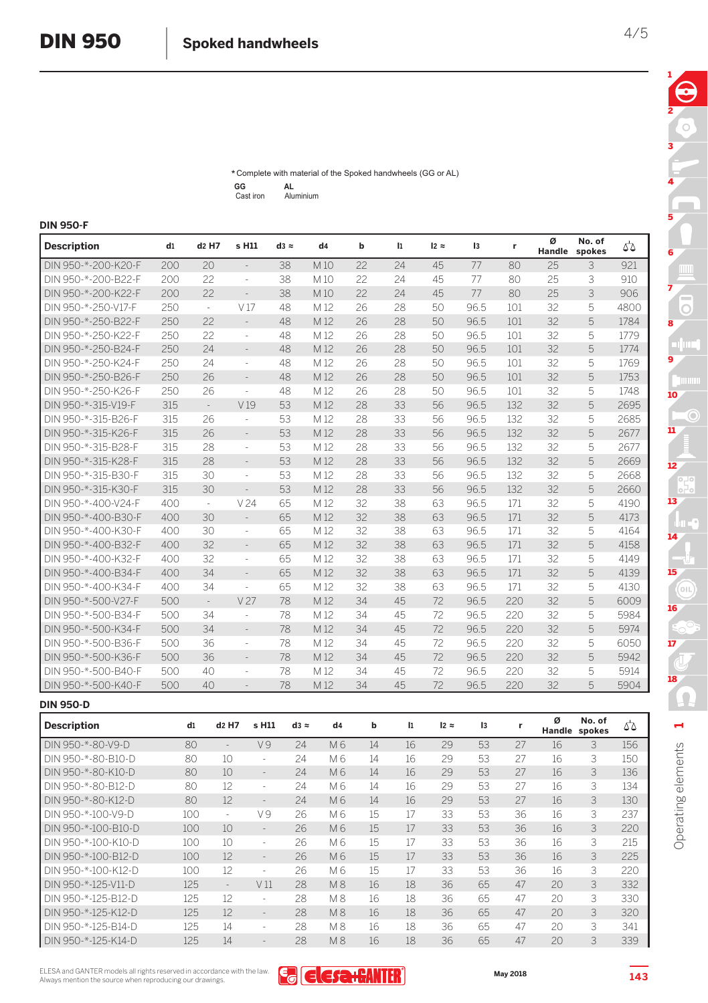\* Complete with material of the Spoked handwheels (GG or AL) Cast iron Aluminium **GG AL**

#### **DIN 950-F**

| <b>Description</b>  | di  | d <sub>2</sub> H <sub>7</sub> | s H11                    | $d3 \approx$ | d <sub>4</sub> | b  | 1  | $12 \approx$ | 3    | r   | Ø<br>Handle | No. of<br>spokes | 55   |
|---------------------|-----|-------------------------------|--------------------------|--------------|----------------|----|----|--------------|------|-----|-------------|------------------|------|
| DIN 950-*-200-K20-F | 200 | 20                            | ÷                        | 38           | M 10           | 22 | 24 | 45           | 77   | 80  | 25          | 3                | 921  |
| DIN 950-*-200-B22-F | 200 | 22                            | $\overline{\phantom{a}}$ | 38           | M 10           | 22 | 24 | 45           | 77   | 80  | 25          | 3                | 910  |
| DIN 950-*-200-K22-F | 200 | 22                            | $\overline{\phantom{a}}$ | 38           | M 10           | 22 | 24 | 45           | 77   | 80  | 25          | 3                | 906  |
| DIN 950-*-250-V17-F | 250 | $\overline{\phantom{a}}$      | V17                      | 48           | M 12           | 26 | 28 | 50           | 96.5 | 101 | 32          | 5                | 4800 |
| DIN 950-*-250-B22-F | 250 | 22                            | $\overline{\phantom{a}}$ | 48           | M 12           | 26 | 28 | 50           | 96.5 | 101 | 32          | 5                | 1784 |
| DIN 950-*-250-K22-F | 250 | 22                            | i,                       | 48           | M 12           | 26 | 28 | 50           | 96.5 | 101 | 32          | 5                | 1779 |
| DIN 950-*-250-B24-F | 250 | 24                            | $\overline{\phantom{a}}$ | 48           | M 12           | 26 | 28 | 50           | 96.5 | 101 | 32          | 5                | 1774 |
| DIN 950-*-250-K24-F | 250 | 24                            | $\overline{\phantom{a}}$ | 48           | M12            | 26 | 28 | 50           | 96.5 | 101 | 32          | 5                | 1769 |
| DIN 950-*-250-B26-F | 250 | 26                            | $\overline{\phantom{a}}$ | 48           | M 12           | 26 | 28 | 50           | 96.5 | 101 | 32          | 5                | 1753 |
| DIN 950-*-250-K26-F | 250 | 26                            | $\overline{\phantom{a}}$ | 48           | M 12           | 26 | 28 | 50           | 96.5 | 101 | 32          | 5                | 1748 |
| DIN 950-*-315-V19-F | 315 | $\sim$                        | V <sub>19</sub>          | 53           | M 12           | 28 | 33 | 56           | 96.5 | 132 | 32          | 5                | 2695 |
| DIN 950-*-315-B26-F | 315 | 26                            | $\overline{\phantom{a}}$ | 53           | M 12           | 28 | 33 | 56           | 96.5 | 132 | 32          | 5                | 2685 |
| DIN 950-*-315-K26-F | 315 | 26                            | $\overline{\phantom{a}}$ | 53           | M 12           | 28 | 33 | 56           | 96.5 | 132 | 32          | 5                | 2677 |
| DIN 950-*-315-B28-F | 315 | 28                            | i,                       | 53           | M 12           | 28 | 33 | 56           | 96.5 | 132 | 32          | 5                | 2677 |
| DIN 950-*-315-K28-F | 315 | 28                            | $\overline{a}$           | 53           | M 12           | 28 | 33 | 56           | 96.5 | 132 | 32          | 5                | 2669 |
| DIN 950-*-315-B30-F | 315 | 30                            | i,                       | 53           | M 12           | 28 | 33 | 56           | 96.5 | 132 | 32          | 5                | 2668 |
| DIN 950-*-315-K30-F | 315 | 30                            | ÷,                       | 53           | M 12           | 28 | 33 | 56           | 96.5 | 132 | 32          | 5                | 2660 |
| DIN 950-*-400-V24-F | 400 | $\overline{\phantom{a}}$      | V <sub>24</sub>          | 65           | M 12           | 32 | 38 | 63           | 96.5 | 171 | 32          | 5                | 4190 |
| DIN 950-*-400-B30-F | 400 | 30                            |                          | 65           | M 12           | 32 | 38 | 63           | 96.5 | 171 | 32          | 5                | 4173 |
| DIN 950-*-400-K30-F | 400 | 30                            | ä,                       | 65           | M 12           | 32 | 38 | 63           | 96.5 | 171 | 32          | 5                | 4164 |
| DIN 950-*-400-B32-F | 400 | 32                            | $\overline{\phantom{a}}$ | 65           | M 12           | 32 | 38 | 63           | 96.5 | 171 | 32          | 5                | 4158 |
| DIN 950-*-400-K32-F | 400 | 32                            | $\overline{\phantom{a}}$ | 65           | M 12           | 32 | 38 | 63           | 96.5 | 171 | 32          | 5                | 4149 |
| DIN 950-*-400-B34-F | 400 | 34                            | $\overline{\phantom{a}}$ | 65           | M 12           | 32 | 38 | 63           | 96.5 | 171 | 32          | 5                | 4139 |
| DIN 950-*-400-K34-F | 400 | 34                            | $\overline{\phantom{a}}$ | 65           | M 12           | 32 | 38 | 63           | 96.5 | 171 | 32          | 5                | 4130 |
| DIN 950-*-500-V27-F | 500 | $\sim$                        | V <sub>27</sub>          | 78           | M 12           | 34 | 45 | 72           | 96.5 | 220 | 32          | 5                | 6009 |
| DIN 950-*-500-B34-F | 500 | 34                            | $\overline{\phantom{a}}$ | 78           | M 12           | 34 | 45 | 72           | 96.5 | 220 | 32          | 5                | 5984 |
| DIN 950-*-500-K34-F | 500 | 34                            | $\overline{\phantom{a}}$ | 78           | M 12           | 34 | 45 | 72           | 96.5 | 220 | 32          | 5                | 5974 |
| DIN 950-*-500-B36-F | 500 | 36                            | i,                       | 78           | M 12           | 34 | 45 | 72           | 96.5 | 220 | 32          | 5                | 6050 |
| DIN 950-*-500-K36-F | 500 | 36                            | $\overline{a}$           | 78           | M 12           | 34 | 45 | 72           | 96.5 | 220 | 32          | 5                | 5942 |
| DIN 950-*-500-B40-F | 500 | 40                            | i,                       | 78           | M 12           | 34 | 45 | 72           | 96.5 | 220 | 32          | 5                | 5914 |
| DIN 950-*-500-K40-F | 500 | 40                            |                          | 78           | M 12           | 34 | 45 | 72           | 96.5 | 220 | 32          | 5                | 5904 |

**DIN 950-D**

| <b>Description</b>  | di  | d <sub>2</sub> H <sub>7</sub> | s H11          | $d3 \approx$ | dd4            | b  | I1 | $12 \approx$ | I3 | r  | Ø  | No. of<br>Handle spokes | 55  |
|---------------------|-----|-------------------------------|----------------|--------------|----------------|----|----|--------------|----|----|----|-------------------------|-----|
| DIN 950-*-80-V9-D   | 80  |                               | V <sub>9</sub> | 24           | M6             | 14 | 16 | 29           | 53 | 27 | 16 | 3                       | 156 |
| DIN 950-*-80-B10-D  | 80  | 10                            | $\sim$         | 24           | M 6            | 14 | 16 | 29           | 53 | 27 | 16 | 3                       | 150 |
| DIN 950-*-80-K10-D  | 80  | 10                            |                | 24           | M6             | 14 | 16 | 29           | 53 | 27 | 16 | 3                       | 136 |
| DIN 950-*-80-B12-D  | 80  | 12                            |                | 24           | M 6            | 14 | 16 | 29           | 53 | 27 | 16 | 3                       | 134 |
| DIN 950-*-80-K12-D  | 80  | 12                            |                | 24           | M6             | 14 | 16 | 29           | 53 | 27 | 16 | 3                       | 130 |
| DIN 950-*-100-V9-D  | 100 | $\sim$                        | V <sub>9</sub> | 26           | M 6            | 15 | 17 | 33           | 53 | 36 | 16 | 3                       | 237 |
| DIN 950-*-100-B10-D | 100 | 10                            |                | 26           | M <sub>6</sub> | 15 | 17 | 33           | 53 | 36 | 16 | 3                       | 220 |
| DIN 950-*-100-K10-D | 100 | 10                            |                | 26           | M 6            | 15 | 17 | 33           | 53 | 36 | 16 | 3                       | 215 |
| DIN 950-*-100-B12-D | 100 | 12                            |                | 26           | M6             | 15 | 17 | 33           | 53 | 36 | 16 | 3                       | 225 |
| DIN 950-*-100-K12-D | 100 | 12                            |                | 26           | M6             | 15 | 17 | 33           | 53 | 36 | 16 | 3                       | 220 |
| DIN 950-*-125-V11-D | 125 |                               | V11            | 28           | M8             | 16 | 18 | 36           | 65 | 47 | 20 | 3                       | 332 |
| DIN 950-*-125-B12-D | 125 | 12                            | $\sim$         | 28           | M 8            | 16 | 18 | 36           | 65 | 47 | 20 | 3                       | 330 |
| DIN 950-*-125-K12-D | 125 | 12                            |                | 28           | M8             | 16 | 18 | 36           | 65 | 47 | 20 | 3                       | 320 |
| DIN 950-*-125-B14-D | 125 | 14                            |                | 28           | M 8            | 16 | 18 | 36           | 65 | 47 | 20 | 3                       | 341 |
| DIN 950-*-125-K14-D | 125 | 14                            |                | 28           | M8             | 16 | 18 | 36           | 65 | 47 | 20 | 3                       | 339 |